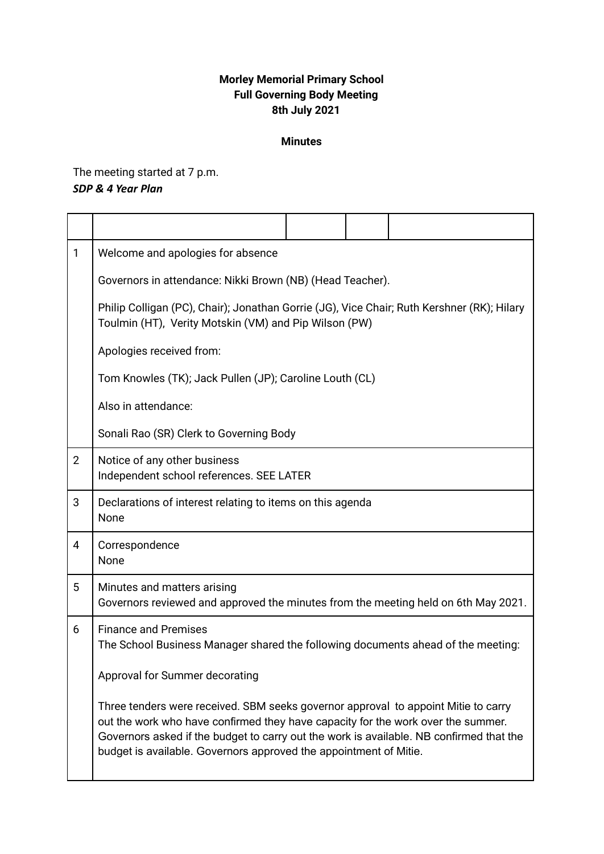## **Morley Memorial Primary School Full Governing Body Meeting 8th July 2021**

## **Minutes**

The meeting started at 7 p.m. *SDP & 4 Year Plan*

| 1              | Welcome and apologies for absence                                                                                                                                                                                                                                                                                                      |  |  |  |
|----------------|----------------------------------------------------------------------------------------------------------------------------------------------------------------------------------------------------------------------------------------------------------------------------------------------------------------------------------------|--|--|--|
|                | Governors in attendance: Nikki Brown (NB) (Head Teacher).                                                                                                                                                                                                                                                                              |  |  |  |
|                | Philip Colligan (PC), Chair); Jonathan Gorrie (JG), Vice Chair; Ruth Kershner (RK); Hilary<br>Toulmin (HT), Verity Motskin (VM) and Pip Wilson (PW)                                                                                                                                                                                    |  |  |  |
|                | Apologies received from:                                                                                                                                                                                                                                                                                                               |  |  |  |
|                | Tom Knowles (TK); Jack Pullen (JP); Caroline Louth (CL)                                                                                                                                                                                                                                                                                |  |  |  |
|                | Also in attendance:                                                                                                                                                                                                                                                                                                                    |  |  |  |
|                | Sonali Rao (SR) Clerk to Governing Body                                                                                                                                                                                                                                                                                                |  |  |  |
| $\overline{2}$ | Notice of any other business<br>Independent school references. SEE LATER                                                                                                                                                                                                                                                               |  |  |  |
| 3              | Declarations of interest relating to items on this agenda<br>None                                                                                                                                                                                                                                                                      |  |  |  |
| 4              | Correspondence<br>None                                                                                                                                                                                                                                                                                                                 |  |  |  |
| 5              | Minutes and matters arising<br>Governors reviewed and approved the minutes from the meeting held on 6th May 2021.                                                                                                                                                                                                                      |  |  |  |
| 6              | <b>Finance and Premises</b><br>The School Business Manager shared the following documents ahead of the meeting:                                                                                                                                                                                                                        |  |  |  |
|                | Approval for Summer decorating                                                                                                                                                                                                                                                                                                         |  |  |  |
|                | Three tenders were received. SBM seeks governor approval to appoint Mitie to carry<br>out the work who have confirmed they have capacity for the work over the summer.<br>Governors asked if the budget to carry out the work is available. NB confirmed that the<br>budget is available. Governors approved the appointment of Mitie. |  |  |  |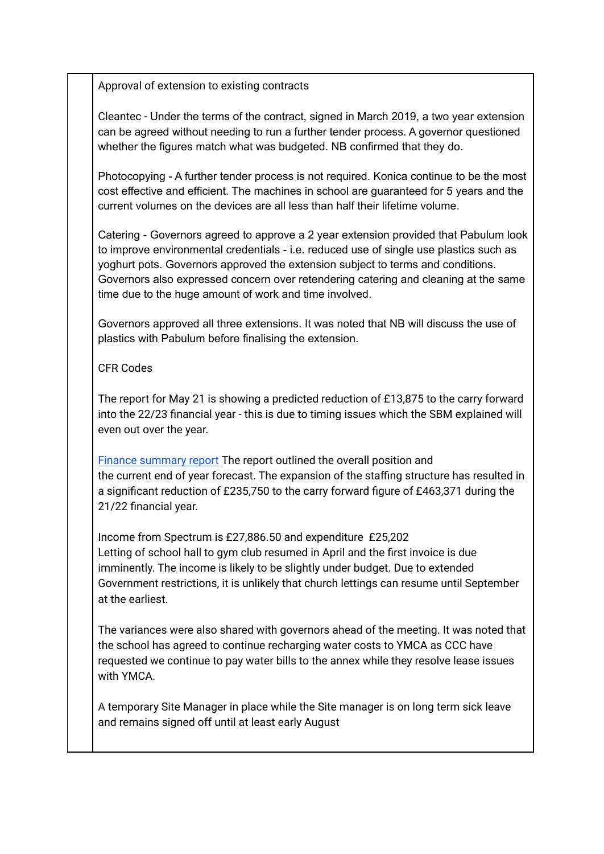Approval of extension to existing contracts

Cleantec - Under the terms of the contract, signed in March 2019, a two year extension can be agreed without needing to run a further tender process. A governor questioned whether the figures match what was budgeted. NB confirmed that they do.

Photocopying - A further tender process is not required. Konica continue to be the most cost effective and efficient. The machines in school are guaranteed for 5 years and the current volumes on the devices are all less than half their lifetime volume.

Catering - Governors agreed to approve a 2 year extension provided that Pabulum look to improve environmental credentials - i.e. reduced use of single use plastics such as yoghurt pots. Governors approved the extension subject to terms and conditions. Governors also expressed concern over retendering catering and cleaning at the same time due to the huge amount of work and time involved.

Governors approved all three extensions. It was noted that NB will discuss the use of plastics with Pabulum before finalising the extension.

CFR Codes

The report for May 21 is showing a predicted reduction of £13,875 to the carry forward into the 22/23 financial year - this is due to timing issues which the SBM explained will even out over the year.

Finance [summary](https://drive.google.com/file/d/1tVMwimvhRe5xPo4OsWnbuiY6zzgmAJkP/view?usp=sharing) report The report outlined the overall position and the current end of year forecast. The expansion of the staffing structure has resulted in a significant reduction of £235,750 to the carry forward figure of £463,371 during the 21/22 financial year.

Income from Spectrum is £27,886.50 and expenditure £25,202 Letting of school hall to gym club resumed in April and the first invoice is due imminently. The income is likely to be slightly under budget. Due to extended Government restrictions, it is unlikely that church lettings can resume until September at the earliest.

The variances were also shared with governors ahead of the meeting. It was noted that the school has agreed to continue recharging water costs to YMCA as CCC have requested we continue to pay water bills to the annex while they resolve lease issues with YMCA.

A temporary Site Manager in place while the Site manager is on long term sick leave and remains signed off until at least early August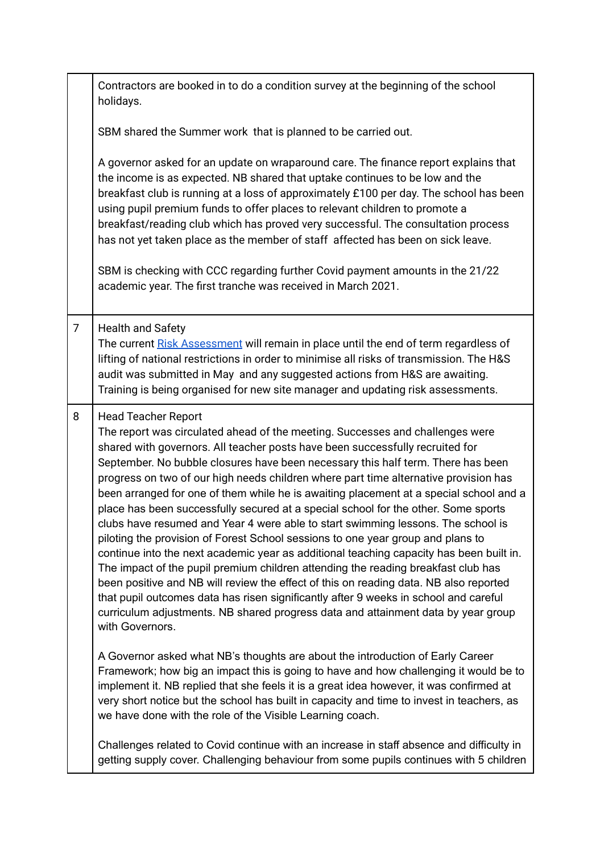|                | Contractors are booked in to do a condition survey at the beginning of the school<br>holidays.                                                                                                                                                                                                                                                                                                                                                                                                                                                                                                                                                                                                                                                                                                                                                                                                                                                                                                                                                                                                                                                                                                           |
|----------------|----------------------------------------------------------------------------------------------------------------------------------------------------------------------------------------------------------------------------------------------------------------------------------------------------------------------------------------------------------------------------------------------------------------------------------------------------------------------------------------------------------------------------------------------------------------------------------------------------------------------------------------------------------------------------------------------------------------------------------------------------------------------------------------------------------------------------------------------------------------------------------------------------------------------------------------------------------------------------------------------------------------------------------------------------------------------------------------------------------------------------------------------------------------------------------------------------------|
|                | SBM shared the Summer work that is planned to be carried out.                                                                                                                                                                                                                                                                                                                                                                                                                                                                                                                                                                                                                                                                                                                                                                                                                                                                                                                                                                                                                                                                                                                                            |
|                | A governor asked for an update on wraparound care. The finance report explains that<br>the income is as expected. NB shared that uptake continues to be low and the<br>breakfast club is running at a loss of approximately £100 per day. The school has been<br>using pupil premium funds to offer places to relevant children to promote a<br>breakfast/reading club which has proved very successful. The consultation process<br>has not yet taken place as the member of staff affected has been on sick leave.<br>SBM is checking with CCC regarding further Covid payment amounts in the 21/22<br>academic year. The first tranche was received in March 2021.                                                                                                                                                                                                                                                                                                                                                                                                                                                                                                                                    |
|                |                                                                                                                                                                                                                                                                                                                                                                                                                                                                                                                                                                                                                                                                                                                                                                                                                                                                                                                                                                                                                                                                                                                                                                                                          |
| $\overline{7}$ | <b>Health and Safety</b><br>The current Risk Assessment will remain in place until the end of term regardless of<br>lifting of national restrictions in order to minimise all risks of transmission. The H&S<br>audit was submitted in May and any suggested actions from H&S are awaiting.<br>Training is being organised for new site manager and updating risk assessments.                                                                                                                                                                                                                                                                                                                                                                                                                                                                                                                                                                                                                                                                                                                                                                                                                           |
| 8              | <b>Head Teacher Report</b><br>The report was circulated ahead of the meeting. Successes and challenges were<br>shared with governors. All teacher posts have been successfully recruited for<br>September. No bubble closures have been necessary this half term. There has been<br>progress on two of our high needs children where part time alternative provision has<br>been arranged for one of them while he is awaiting placement at a special school and a<br>place has been successfully secured at a special school for the other. Some sports<br>clubs have resumed and Year 4 were able to start swimming lessons. The school is<br>piloting the provision of Forest School sessions to one year group and plans to<br>continue into the next academic year as additional teaching capacity has been built in.<br>The impact of the pupil premium children attending the reading breakfast club has<br>been positive and NB will review the effect of this on reading data. NB also reported<br>that pupil outcomes data has risen significantly after 9 weeks in school and careful<br>curriculum adjustments. NB shared progress data and attainment data by year group<br>with Governors. |
|                | A Governor asked what NB's thoughts are about the introduction of Early Career<br>Framework; how big an impact this is going to have and how challenging it would be to<br>implement it. NB replied that she feels it is a great idea however, it was confirmed at<br>very short notice but the school has built in capacity and time to invest in teachers, as<br>we have done with the role of the Visible Learning coach.                                                                                                                                                                                                                                                                                                                                                                                                                                                                                                                                                                                                                                                                                                                                                                             |
|                | Challenges related to Covid continue with an increase in staff absence and difficulty in<br>getting supply cover. Challenging behaviour from some pupils continues with 5 children                                                                                                                                                                                                                                                                                                                                                                                                                                                                                                                                                                                                                                                                                                                                                                                                                                                                                                                                                                                                                       |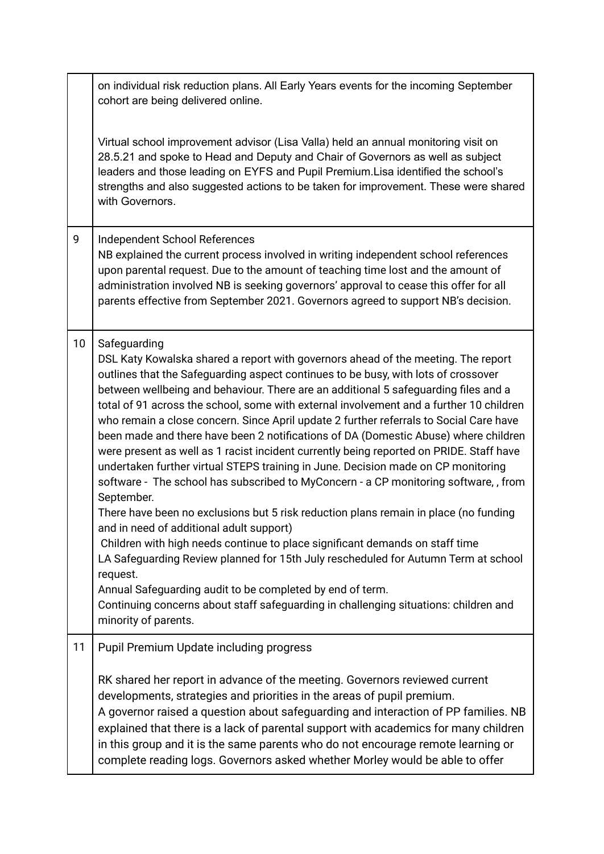|    | on individual risk reduction plans. All Early Years events for the incoming September<br>cohort are being delivered online.                                                                                                                                                                                                                                                                                                                                                                                                                                                                                                                                                                                                                                                                                                                                                                                                                                                                                                                                                                                                                                                                                                                                                                                                                        |
|----|----------------------------------------------------------------------------------------------------------------------------------------------------------------------------------------------------------------------------------------------------------------------------------------------------------------------------------------------------------------------------------------------------------------------------------------------------------------------------------------------------------------------------------------------------------------------------------------------------------------------------------------------------------------------------------------------------------------------------------------------------------------------------------------------------------------------------------------------------------------------------------------------------------------------------------------------------------------------------------------------------------------------------------------------------------------------------------------------------------------------------------------------------------------------------------------------------------------------------------------------------------------------------------------------------------------------------------------------------|
|    | Virtual school improvement advisor (Lisa Valla) held an annual monitoring visit on<br>28.5.21 and spoke to Head and Deputy and Chair of Governors as well as subject<br>leaders and those leading on EYFS and Pupil Premium. Lisa identified the school's<br>strengths and also suggested actions to be taken for improvement. These were shared<br>with Governors.                                                                                                                                                                                                                                                                                                                                                                                                                                                                                                                                                                                                                                                                                                                                                                                                                                                                                                                                                                                |
| 9  | Independent School References<br>NB explained the current process involved in writing independent school references<br>upon parental request. Due to the amount of teaching time lost and the amount of<br>administration involved NB is seeking governors' approval to cease this offer for all<br>parents effective from September 2021. Governors agreed to support NB's decision.                                                                                                                                                                                                                                                                                                                                                                                                                                                                                                                                                                                                                                                                                                                                                                                                                                                                                                                                                              |
| 10 | Safeguarding<br>DSL Katy Kowalska shared a report with governors ahead of the meeting. The report<br>outlines that the Safeguarding aspect continues to be busy, with lots of crossover<br>between wellbeing and behaviour. There are an additional 5 safeguarding files and a<br>total of 91 across the school, some with external involvement and a further 10 children<br>who remain a close concern. Since April update 2 further referrals to Social Care have<br>been made and there have been 2 notifications of DA (Domestic Abuse) where children<br>were present as well as 1 racist incident currently being reported on PRIDE. Staff have<br>undertaken further virtual STEPS training in June. Decision made on CP monitoring<br>software - The school has subscribed to MyConcern - a CP monitoring software,, from<br>September.<br>There have been no exclusions but 5 risk reduction plans remain in place (no funding<br>and in need of additional adult support)<br>Children with high needs continue to place significant demands on staff time<br>LA Safeguarding Review planned for 15th July rescheduled for Autumn Term at school<br>request.<br>Annual Safeguarding audit to be completed by end of term.<br>Continuing concerns about staff safeguarding in challenging situations: children and<br>minority of parents. |
| 11 | <b>Pupil Premium Update including progress</b><br>RK shared her report in advance of the meeting. Governors reviewed current<br>developments, strategies and priorities in the areas of pupil premium.<br>A governor raised a question about safeguarding and interaction of PP families. NB<br>explained that there is a lack of parental support with academics for many children<br>in this group and it is the same parents who do not encourage remote learning or<br>complete reading logs. Governors asked whether Morley would be able to offer                                                                                                                                                                                                                                                                                                                                                                                                                                                                                                                                                                                                                                                                                                                                                                                            |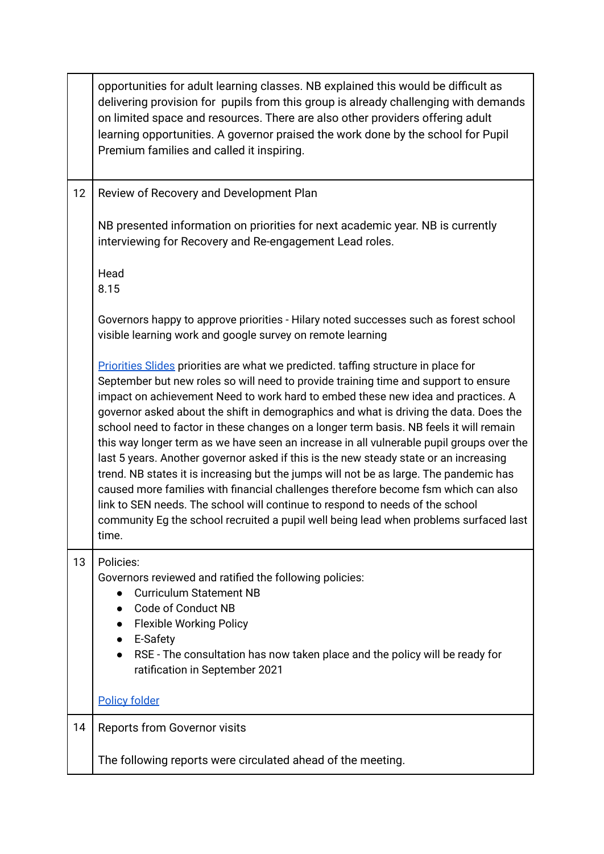|    | opportunities for adult learning classes. NB explained this would be difficult as<br>delivering provision for pupils from this group is already challenging with demands<br>on limited space and resources. There are also other providers offering adult<br>learning opportunities. A governor praised the work done by the school for Pupil<br>Premium families and called it inspiring.                                                                                                                                                                                                                                                                                                                                                                                                                                                                                                                                                                                                               |
|----|----------------------------------------------------------------------------------------------------------------------------------------------------------------------------------------------------------------------------------------------------------------------------------------------------------------------------------------------------------------------------------------------------------------------------------------------------------------------------------------------------------------------------------------------------------------------------------------------------------------------------------------------------------------------------------------------------------------------------------------------------------------------------------------------------------------------------------------------------------------------------------------------------------------------------------------------------------------------------------------------------------|
| 12 | Review of Recovery and Development Plan                                                                                                                                                                                                                                                                                                                                                                                                                                                                                                                                                                                                                                                                                                                                                                                                                                                                                                                                                                  |
|    | NB presented information on priorities for next academic year. NB is currently<br>interviewing for Recovery and Re-engagement Lead roles.                                                                                                                                                                                                                                                                                                                                                                                                                                                                                                                                                                                                                                                                                                                                                                                                                                                                |
|    | Head<br>8.15                                                                                                                                                                                                                                                                                                                                                                                                                                                                                                                                                                                                                                                                                                                                                                                                                                                                                                                                                                                             |
|    | Governors happy to approve priorities - Hilary noted successes such as forest school<br>visible learning work and google survey on remote learning                                                                                                                                                                                                                                                                                                                                                                                                                                                                                                                                                                                                                                                                                                                                                                                                                                                       |
|    | Priorities Slides priorities are what we predicted. taffing structure in place for<br>September but new roles so will need to provide training time and support to ensure<br>impact on achievement Need to work hard to embed these new idea and practices. A<br>governor asked about the shift in demographics and what is driving the data. Does the<br>school need to factor in these changes on a longer term basis. NB feels it will remain<br>this way longer term as we have seen an increase in all vulnerable pupil groups over the<br>last 5 years. Another governor asked if this is the new steady state or an increasing<br>trend. NB states it is increasing but the jumps will not be as large. The pandemic has<br>caused more families with financial challenges therefore become fsm which can also<br>link to SEN needs. The school will continue to respond to needs of the school<br>community Eg the school recruited a pupil well being lead when problems surfaced last<br>time. |
| 13 | Policies:<br>Governors reviewed and ratified the following policies:<br><b>Curriculum Statement NB</b><br>Code of Conduct NB<br><b>Flexible Working Policy</b><br>E-Safety<br>RSE - The consultation has now taken place and the policy will be ready for<br>ratification in September 2021                                                                                                                                                                                                                                                                                                                                                                                                                                                                                                                                                                                                                                                                                                              |
|    | <b>Policy folder</b>                                                                                                                                                                                                                                                                                                                                                                                                                                                                                                                                                                                                                                                                                                                                                                                                                                                                                                                                                                                     |
| 14 | <b>Reports from Governor visits</b>                                                                                                                                                                                                                                                                                                                                                                                                                                                                                                                                                                                                                                                                                                                                                                                                                                                                                                                                                                      |
|    | The following reports were circulated ahead of the meeting.                                                                                                                                                                                                                                                                                                                                                                                                                                                                                                                                                                                                                                                                                                                                                                                                                                                                                                                                              |